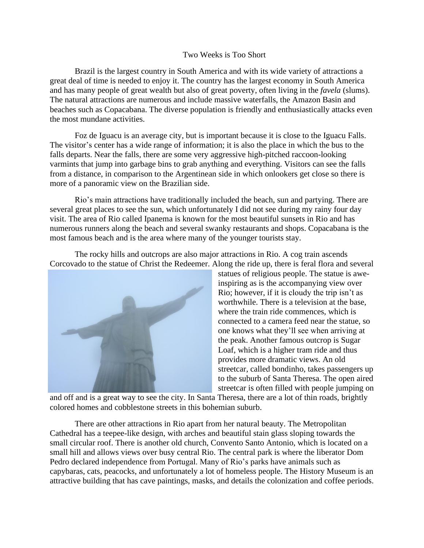## Two Weeks is Too Short

Brazil is the largest country in South America and with its wide variety of attractions a great deal of time is needed to enjoy it. The country has the largest economy in South America and has many people of great wealth but also of great poverty, often living in the *favela* (slums). The natural attractions are numerous and include massive waterfalls, the Amazon Basin and beaches such as Copacabana. The diverse population is friendly and enthusiastically attacks even the most mundane activities.

Foz de Iguacu is an average city, but is important because it is close to the Iguacu Falls. The visitor's center has a wide range of information; it is also the place in which the bus to the falls departs. Near the falls, there are some very aggressive high-pitched raccoon-looking varmints that jump into garbage bins to grab anything and everything. Visitors can see the falls from a distance, in comparison to the Argentinean side in which onlookers get close so there is more of a panoramic view on the Brazilian side.

Rio's main attractions have traditionally included the beach, sun and partying. There are several great places to see the sun, which unfortunately I did not see during my rainy four day visit. The area of Rio called Ipanema is known for the most beautiful sunsets in Rio and has numerous runners along the beach and several swanky restaurants and shops. Copacabana is the most famous beach and is the area where many of the younger tourists stay.

The rocky hills and outcrops are also major attractions in Rio. A cog train ascends Corcovado to the statue of Christ the Redeemer. Along the ride up, there is feral flora and several



statues of religious people. The statue is aweinspiring as is the accompanying view over Rio; however, if it is cloudy the trip isn't as worthwhile. There is a television at the base, where the train ride commences, which is connected to a camera feed near the statue, so one knows what they'll see when arriving at the peak. Another famous outcrop is Sugar Loaf, which is a higher tram ride and thus provides more dramatic views. An old streetcar, called bondinho, takes passengers up to the suburb of Santa Theresa. The open aired streetcar is often filled with people jumping on

and off and is a great way to see the city. In Santa Theresa, there are a lot of thin roads, brightly colored homes and cobblestone streets in this bohemian suburb.

There are other attractions in Rio apart from her natural beauty. The Metropolitan Cathedral has a teepee-like design, with arches and beautiful stain glass sloping towards the small circular roof. There is another old church, Convento Santo Antonio, which is located on a small hill and allows views over busy central Rio. The central park is where the liberator Dom Pedro declared independence from Portugal. Many of Rio's parks have animals such as capybaras, cats, peacocks, and unfortunately a lot of homeless people. The History Museum is an attractive building that has cave paintings, masks, and details the colonization and coffee periods.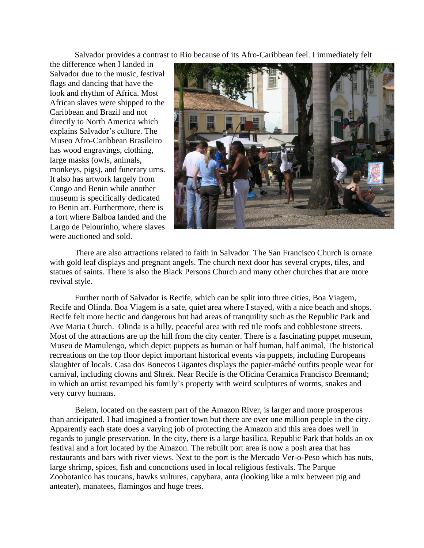Salvador provides a contrast to Rio because of its Afro-Caribbean feel. I immediately felt

the difference when I landed in Salvador due to the music, festival flags and dancing that have the look and rhythm of Africa. Most African slaves were shipped to the Caribbean and Brazil and not directly to North America which explains Salvador's culture. The Museo Afro-Caribbean Brasileiro has wood engravings, clothing, large masks (owls, animals, monkeys, pigs), and funerary urns. It also has artwork largely from Congo and Benin while another museum is specifically dedicated to Benin art. Furthermore, there is a fort where Balboa landed and the Largo de Pelourinho, where slaves were auctioned and sold.



There are also attractions related to faith in Salvador. The San Francisco Church is ornate with gold leaf displays and pregnant angels. The church next door has several crypts, tiles, and statues of saints. There is also the Black Persons Church and many other churches that are more revival style.

Further north of Salvador is Recife, which can be split into three cities, Boa Viagem, Recife and Olinda. Boa Viagem is a safe, quiet area where I stayed, with a nice beach and shops. Recife felt more hectic and dangerous but had areas of tranquility such as the Republic Park and Ave Maria Church. Olinda is a hilly, peaceful area with red tile roofs and cobblestone streets. Most of the attractions are up the hill from the city center. There is a fascinating puppet museum, Museu de Mamulengo, which depict puppets as human or half human, half animal. The historical recreations on the top floor depict important historical events via puppets, including Europeans slaughter of locals. Casa dos Bonecos Gigantes displays the papier-mâché outfits people wear for carnival, including clowns and Shrek. Near Recife is the Oficina Ceramica Francisco Brennand; in which an artist revamped his family's property with weird sculptures of worms, snakes and very curvy humans.

Belem, located on the eastern part of the Amazon River, is larger and more prosperous than anticipated. I had imagined a frontier town but there are over one million people in the city. Apparently each state does a varying job of protecting the Amazon and this area does well in regards to jungle preservation. In the city, there is a large basilica, Republic Park that holds an ox festival and a fort located by the Amazon. The rebuilt port area is now a posh area that has restaurants and bars with river views. Next to the port is the Mercado Ver-o-Peso which has nuts, large shrimp, spices, fish and concoctions used in local religious festivals. The Parque Zoobotanico has toucans, hawks vultures, capybara, anta (looking like a mix between pig and anteater), manatees, flamingos and huge trees.